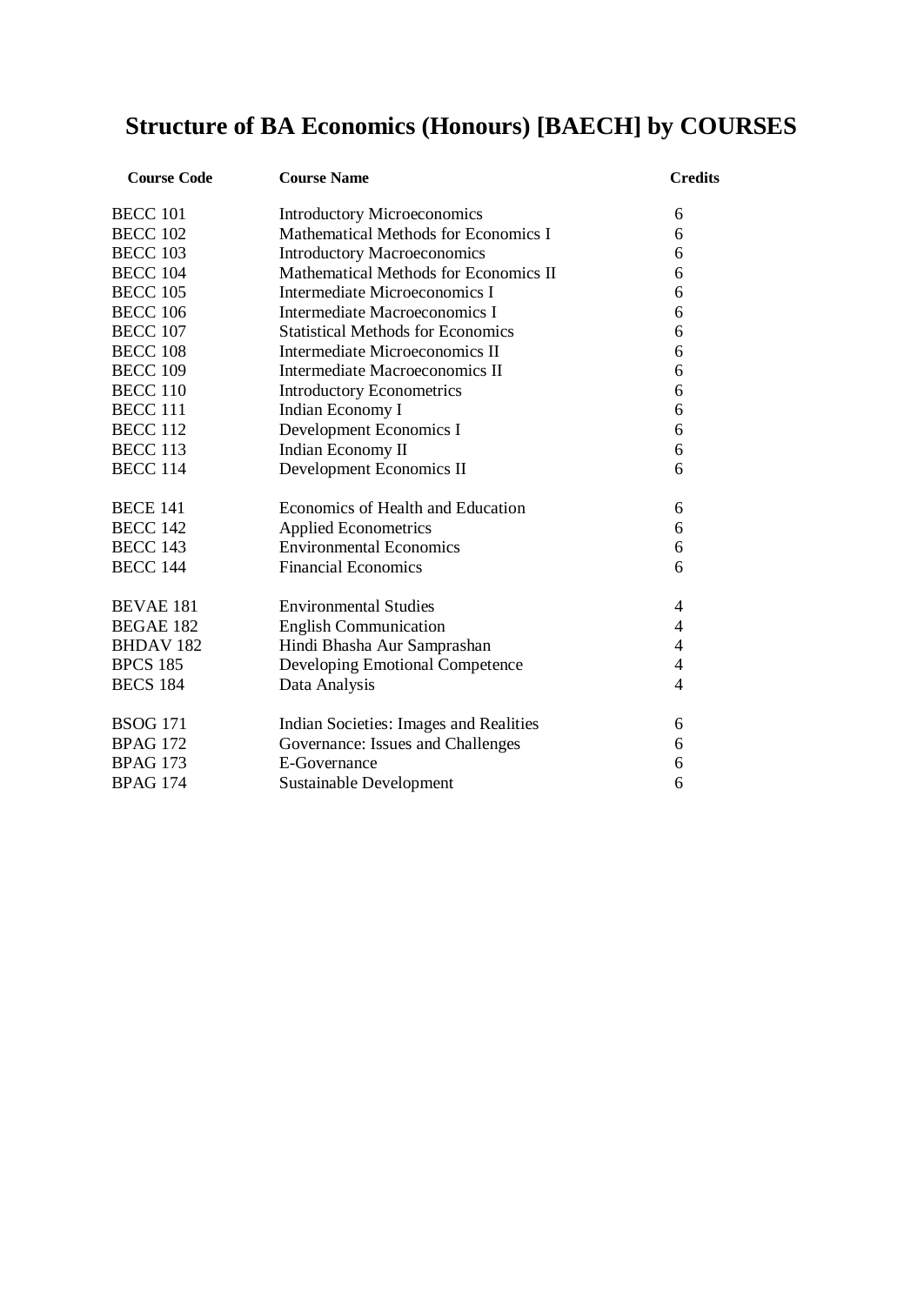# **Structure of BA Economics (Honours) [BAECH] by COURSES**

| <b>Course Code</b> | <b>Course Name</b>                       | <b>Credits</b> |
|--------------------|------------------------------------------|----------------|
| <b>BECC 101</b>    | <b>Introductory Microeconomics</b>       | 6              |
| <b>BECC 102</b>    | Mathematical Methods for Economics I     | 6              |
| <b>BECC 103</b>    | <b>Introductory Macroeconomics</b>       | 6              |
| <b>BECC 104</b>    | Mathematical Methods for Economics II    | 6              |
| <b>BECC 105</b>    | <b>Intermediate Microeconomics I</b>     | 6              |
| <b>BECC 106</b>    | Intermediate Macroeconomics I            | 6              |
| <b>BECC 107</b>    | <b>Statistical Methods for Economics</b> | 6              |
| <b>BECC 108</b>    | Intermediate Microeconomics II           | 6              |
| <b>BECC 109</b>    | Intermediate Macroeconomics II           | 6              |
| <b>BECC 110</b>    | <b>Introductory Econometrics</b>         | 6              |
| <b>BECC 111</b>    | Indian Economy I                         | 6              |
| <b>BECC 112</b>    | Development Economics I                  | 6              |
| <b>BECC 113</b>    | Indian Economy II                        | 6              |
| <b>BECC 114</b>    | Development Economics II                 | 6              |
| <b>BECE 141</b>    | Economics of Health and Education        | 6              |
| <b>BECC 142</b>    | <b>Applied Econometrics</b>              | 6              |
| <b>BECC 143</b>    | <b>Environmental Economics</b>           | 6              |
| <b>BECC 144</b>    | <b>Financial Economics</b>               | 6              |
| <b>BEVAE 181</b>   | <b>Environmental Studies</b>             | 4              |
| <b>BEGAE 182</b>   | <b>English Communication</b>             | 4              |
| <b>BHDAV182</b>    | Hindi Bhasha Aur Samprashan              | 4              |
| <b>BPCS 185</b>    | Developing Emotional Competence          | 4              |
| <b>BECS 184</b>    | Data Analysis                            | $\overline{4}$ |
| <b>BSOG 171</b>    | Indian Societies: Images and Realities   | 6              |
| <b>BPAG 172</b>    | Governance: Issues and Challenges        | 6              |
| <b>BPAG 173</b>    | E-Governance                             | 6              |
| <b>BPAG 174</b>    | <b>Sustainable Development</b>           | 6              |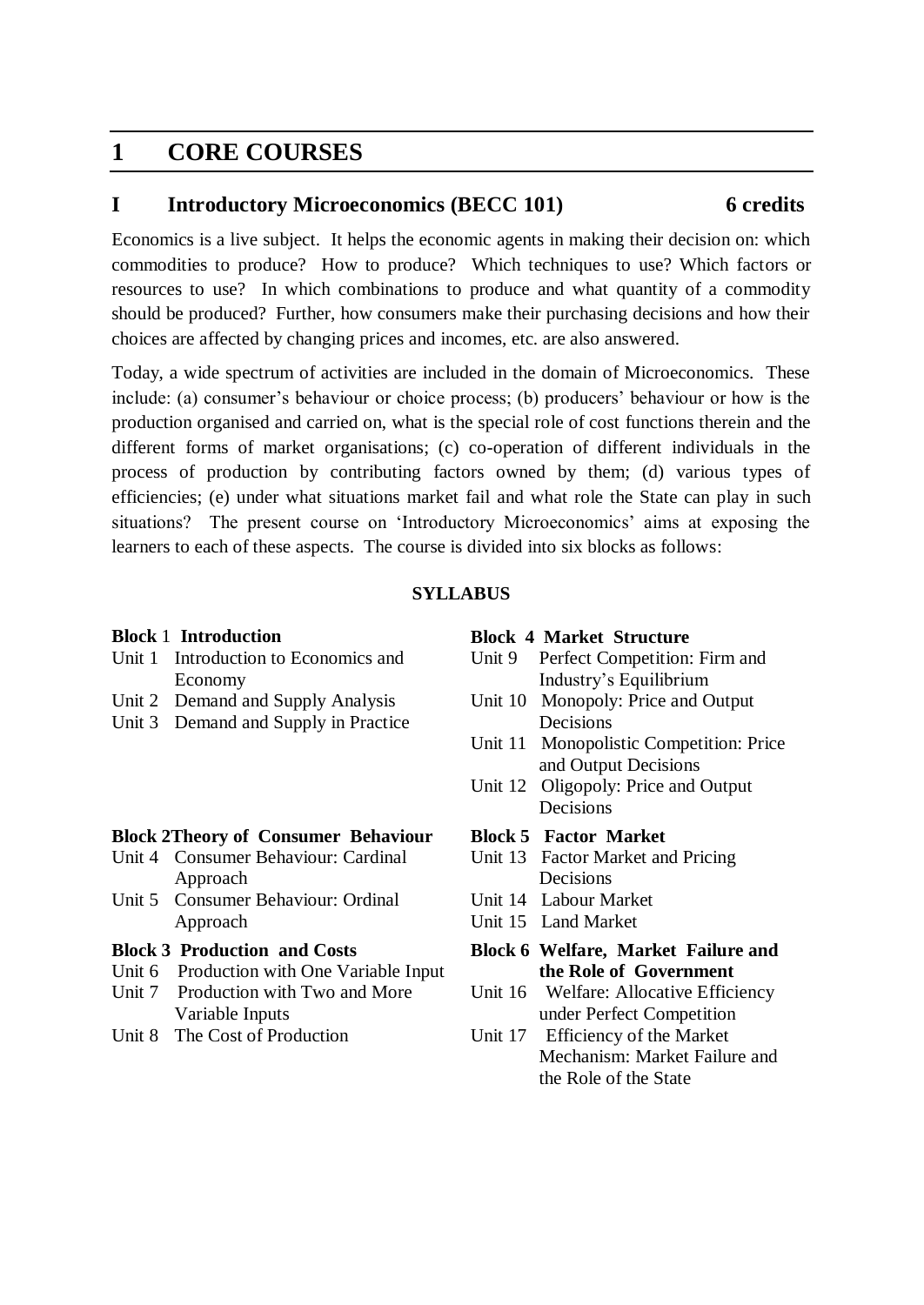## **1 CORE COURSES**

## **I Introductory Microeconomics (BECC 101) 6 credits**

Economics is a live subject. It helps the economic agents in making their decision on: which commodities to produce? How to produce? Which techniques to use? Which factors or resources to use? In which combinations to produce and what quantity of a commodity should be produced? Further, how consumers make their purchasing decisions and how their choices are affected by changing prices and incomes, etc. are also answered.

Today, a wide spectrum of activities are included in the domain of Microeconomics. These include: (a) consumer's behaviour or choice process; (b) producers' behaviour or how is the production organised and carried on, what is the special role of cost functions therein and the different forms of market organisations; (c) co-operation of different individuals in the process of production by contributing factors owned by them; (d) various types of efficiencies; (e) under what situations market fail and what role the State can play in such situations? The present course on 'Introductory Microeconomics' aims at exposing the learners to each of these aspects. The course is divided into six blocks as follows:

## **SYLLABUS**

### **Block** 1 **Introduction**

- Unit 1 Introduction to Economics and Economy
- Unit 2 Demand and Supply Analysis
- Unit 3 Demand and Supply in Practice

## **Block 2Theory of Consumer Behaviour**

- Unit 4 Consumer Behaviour: Cardinal Approach
- Unit 5 Consumer Behaviour: Ordinal Approach

## **Block 3 Production and Costs**

- Unit 6 Production with One Variable Input
- Unit 7 Production with Two and More Variable Inputs
- Unit 8 The Cost of Production

### **Block 4 Market Structure**

- Unit 9 Perfect Competition: Firm and Industry's Equilibrium
- Unit 10 Monopoly: Price and Output Decisions
- Unit 11 Monopolistic Competition: Price and Output Decisions
- Unit 12 Oligopoly: Price and Output Decisions
- **Block 5 Factor Market**
- Unit 13 Factor Market and Pricing Decisions
- Unit 14 Labour Market
- Unit 15 Land Market
- **Block 6 Welfare, Market Failure and the Role of Government**
- Unit 16 Welfare: Allocative Efficiency under Perfect Competition
- Unit 17 Efficiency of the Market Mechanism: Market Failure and the Role of the State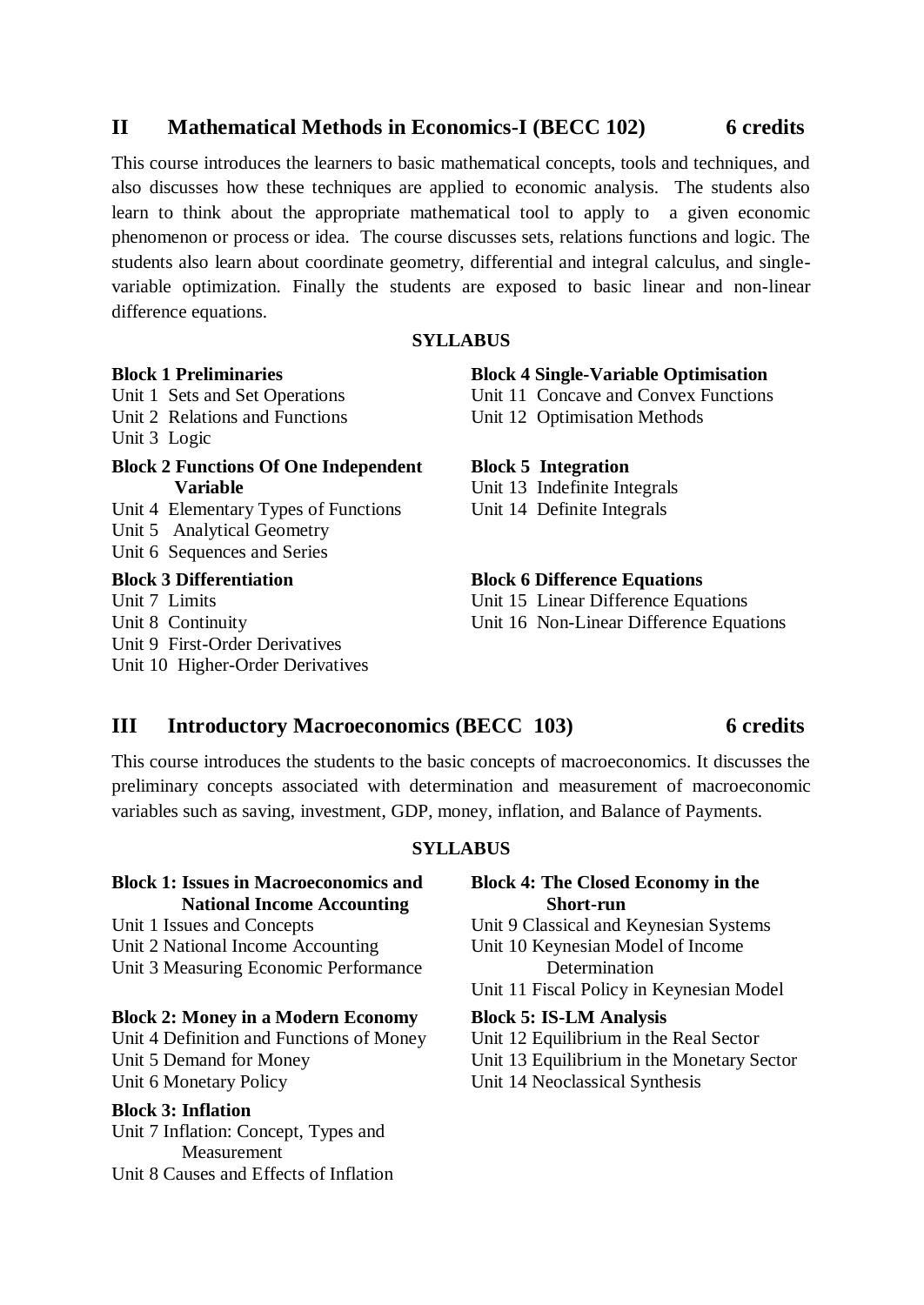## **II Mathematical Methods in Economics-I (BECC 102) 6 credits**

This course introduces the learners to basic mathematical concepts, tools and techniques, and also discusses how these techniques are applied to economic analysis. The students also learn to think about the appropriate mathematical tool to apply to a given economic phenomenon or process or idea. The course discusses sets, relations functions and logic. The students also learn about coordinate geometry, differential and integral calculus, and singlevariable optimization. Finally the students are exposed to basic linear and non-linear difference equations.

## **SYLLABUS**

## **Block 1 Preliminaries**

Unit 1 Sets and Set Operations Unit 2 Relations and Functions Unit 3 Logic

## **Block 2 Functions Of One Independent Variable**

Unit 4 Elementary Types of Functions Unit 5 Analytical Geometry Unit 6 Sequences and Series

## **Block 3 Differentiation**

Unit 7 Limits Unit 8 Continuity Unit 9 First-Order Derivatives Unit 10 Higher-Order Derivatives

## **Block 4 Single-Variable Optimisation**

Unit 11 Concave and Convex Functions Unit 12 Optimisation Methods

### **Block 5 Integration**

Unit 13 Indefinite Integrals Unit 14 Definite Integrals

## **Block 6 Difference Equations**

Unit 15 Linear Difference Equations Unit 16 Non-Linear Difference Equations

## **III Introductory Macroeconomics (BECC 103) 6 credits**

## This course introduces the students to the basic concepts of macroeconomics. It discusses the preliminary concepts associated with determination and measurement of macroeconomic variables such as saving, investment, GDP, money, inflation, and Balance of Payments.

### **SYLLABUS**

## **Block 1: Issues in Macroeconomics and National Income Accounting**

Unit 1 Issues and Concepts Unit 2 National Income Accounting Unit 3 Measuring Economic Performance

### **Block 2: Money in a Modern Economy**

Unit 4 Definition and Functions of Money Unit 5 Demand for Money Unit 6 Monetary Policy

## **Block 3: Inflation**

Unit 7 Inflation: Concept, Types and Measurement Unit 8 Causes and Effects of Inflation

## **Block 4: The Closed Economy in the Short-run**

Unit 9 Classical and Keynesian Systems

Unit 10 Keynesian Model of Income Determination

Unit 11 Fiscal Policy in Keynesian Model

### **Block 5: IS-LM Analysis**

- Unit 12 Equilibrium in the Real Sector
- Unit 13 Equilibrium in the Monetary Sector
- Unit 14 Neoclassical Synthesis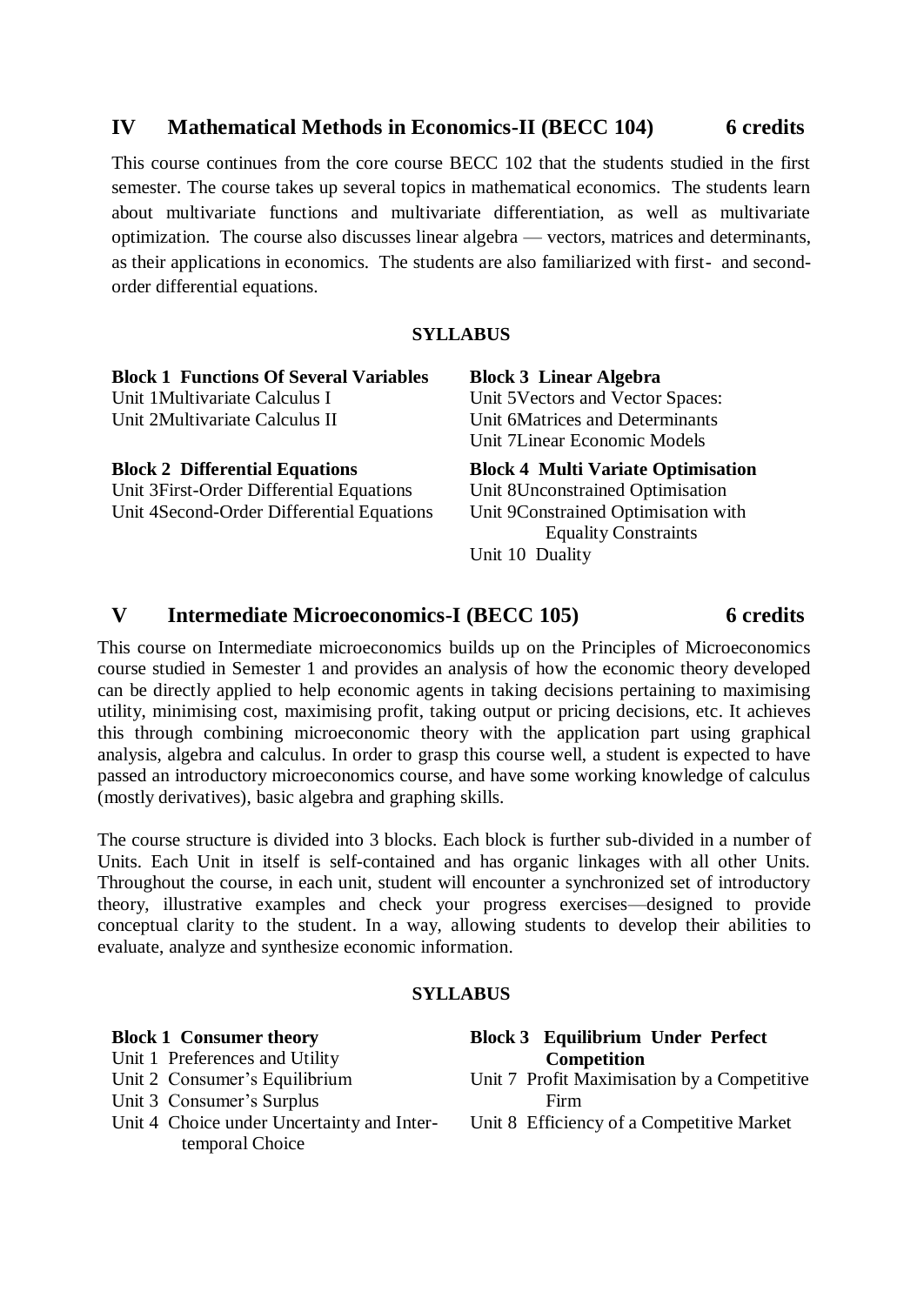## **IV Mathematical Methods in Economics-II (BECC 104) 6 credits**

This course continues from the core course BECC 102 that the students studied in the first semester. The course takes up several topics in mathematical economics. The students learn about multivariate functions and multivariate differentiation, as well as multivariate optimization. The course also discusses linear algebra — vectors, matrices and determinants, as their applications in economics. The students are also familiarized with first- and secondorder differential equations.

## **SYLLABUS**

| <b>Block 1 Functions Of Several Variables</b> | <b>Block 3 Linear Algebra</b>             |
|-----------------------------------------------|-------------------------------------------|
| Unit 1 Multivariate Calculus I                | Unit 5 Vectors and Vector Spaces:         |
| Unit 2Multivariate Calculus II                | Unit 6Matrices and Determinants           |
|                                               | Unit 7 Linear Economic Models             |
| <b>Block 2 Differential Equations</b>         | <b>Block 4 Multi Variate Optimisation</b> |
| Unit 3First-Order Differential Equations      | Unit 8Unconstrained Optimisation          |
| Unit 4Second-Order Differential Equations     | Unit 9Constrained Optimisation with       |
|                                               | <b>Equality Constraints</b>               |
|                                               | Unit 10 Duality                           |

## **V Intermediate Microeconomics-I (BECC 105) 6 credits**

This course on Intermediate microeconomics builds up on the Principles of Microeconomics course studied in Semester 1 and provides an analysis of how the economic theory developed can be directly applied to help economic agents in taking decisions pertaining to maximising utility, minimising cost, maximising profit, taking output or pricing decisions, etc. It achieves this through combining microeconomic theory with the application part using graphical analysis, algebra and calculus. In order to grasp this course well, a student is expected to have passed an introductory microeconomics course, and have some working knowledge of calculus (mostly derivatives), basic algebra and graphing skills.

The course structure is divided into 3 blocks. Each block is further sub-divided in a number of Units. Each Unit in itself is self-contained and has organic linkages with all other Units. Throughout the course, in each unit, student will encounter a synchronized set of introductory theory, illustrative examples and check your progress exercises—designed to provide conceptual clarity to the student. In a way, allowing students to develop their abilities to evaluate, analyze and synthesize economic information.

## **SYLLABUS**

| <b>Block 1 Consumer theory</b> | Block 3 Eq   |
|--------------------------------|--------------|
| Unit 1 Preferences and Utility | C.           |
| Unit 2 Consumer's Equilibrium  | Unit 7 Profi |
| Unit 3 Consumer's Surplus      | Fii          |

Unit 4 Choice under Uncertainty and Intertemporal Choice

**Block 3 Equilibrium Under Perfect Competition** It Maximisation by a Competitive

- Firm
- Unit 8 Efficiency of a Competitive Market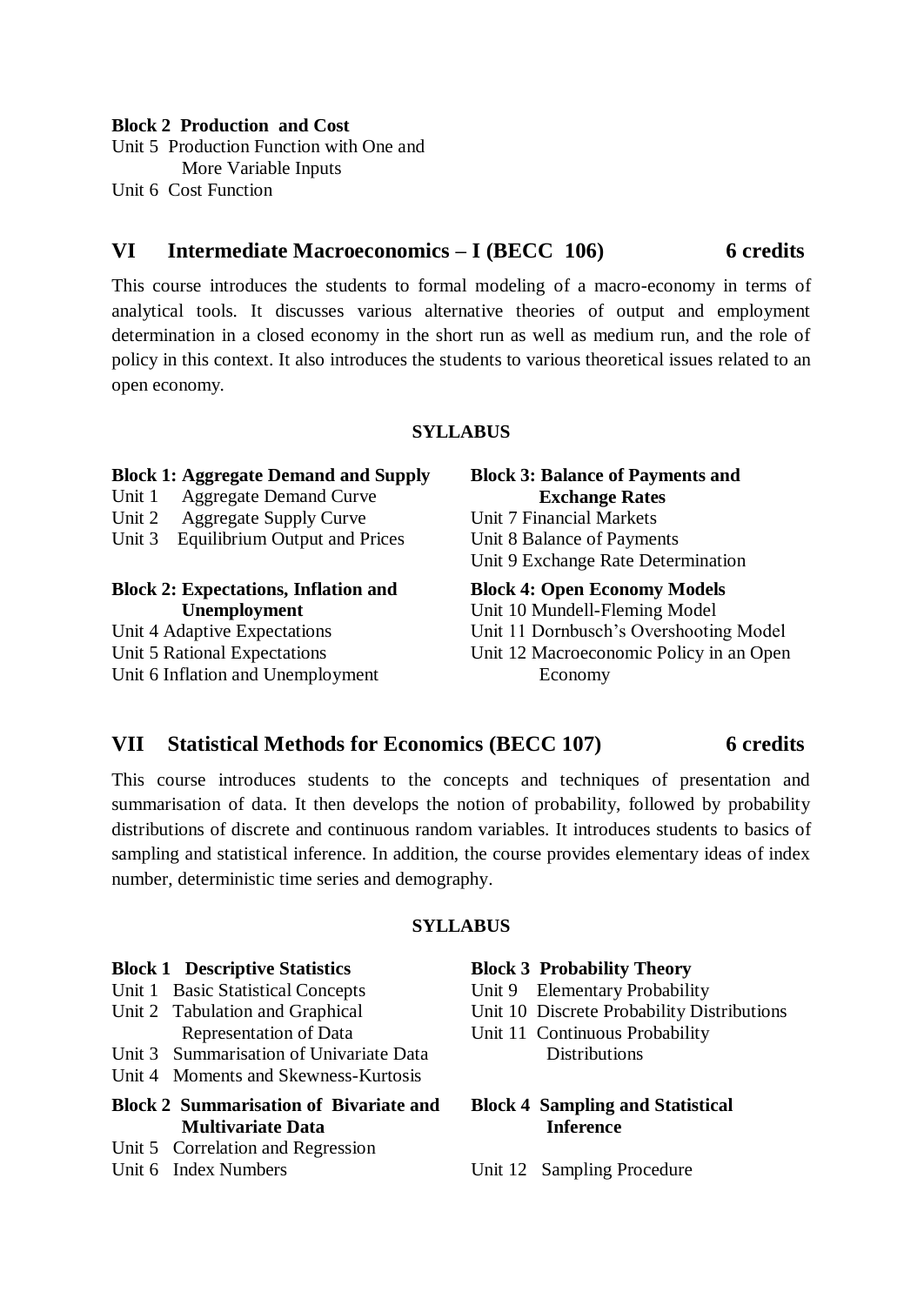#### **Block 2 Production and Cost**

Unit 5 Production Function with One and More Variable Inputs Unit 6 Cost Function

## **VI Intermediate Macroeconomics – I (BECC 106) 6 credits**

This course introduces the students to formal modeling of a macro-economy in terms of analytical tools. It discusses various alternative theories of output and employment determination in a closed economy in the short run as well as medium run, and the role of policy in this context. It also introduces the students to various theoretical issues related to an open economy.

## **SYLLABUS**

| <b>Block 1: Aggregate Demand and Supply</b><br><b>Aggregate Demand Curve</b><br>Unit 1 | <b>Block 3: Balance of Payments and</b><br><b>Exchange Rates</b> |
|----------------------------------------------------------------------------------------|------------------------------------------------------------------|
| <b>Aggregate Supply Curve</b><br>Unit 2                                                | Unit 7 Financial Markets                                         |
| <b>Equilibrium Output and Prices</b><br>Unit 3                                         | Unit 8 Balance of Payments                                       |
|                                                                                        | Unit 9 Exchange Rate Determination                               |
|                                                                                        |                                                                  |
| <b>Block 2: Expectations, Inflation and</b>                                            | <b>Block 4: Open Economy Models</b>                              |
| Unemployment                                                                           | Unit 10 Mundell-Fleming Model                                    |
| Unit 4 Adaptive Expectations                                                           | Unit 11 Dornbusch's Overshooting Model                           |
| Unit 5 Rational Expectations                                                           | Unit 12 Macroeconomic Policy in an Open                          |

## **VII Statistical Methods for Economics (BECC 107) 6 credits**

This course introduces students to the concepts and techniques of presentation and summarisation of data. It then develops the notion of probability, followed by probability distributions of discrete and continuous random variables. It introduces students to basics of sampling and statistical inference. In addition, the course provides elementary ideas of index number, deterministic time series and demography.

## **SYLLABUS**

### **Block 1 Descriptive Statistics**

- Unit 1 Basic Statistical Concepts
- Unit 2 Tabulation and Graphical Representation of Data
- Unit 3 Summarisation of Univariate Data
- Unit 4 Moments and Skewness-Kurtosis
- 
- **Block 2 Summarisation of Bivariate and Multivariate Data**
- Unit 5 Correlation and Regression
- Unit 6 Index Numbers

#### **Block 3 Probability Theory**

- Unit 9 Elementary Probability
- Unit 10 Discrete Probability Distributions
- Unit 11 Continuous Probability Distributions

## **Block 4 Sampling and Statistical Inference**

Unit 12 Sampling Procedure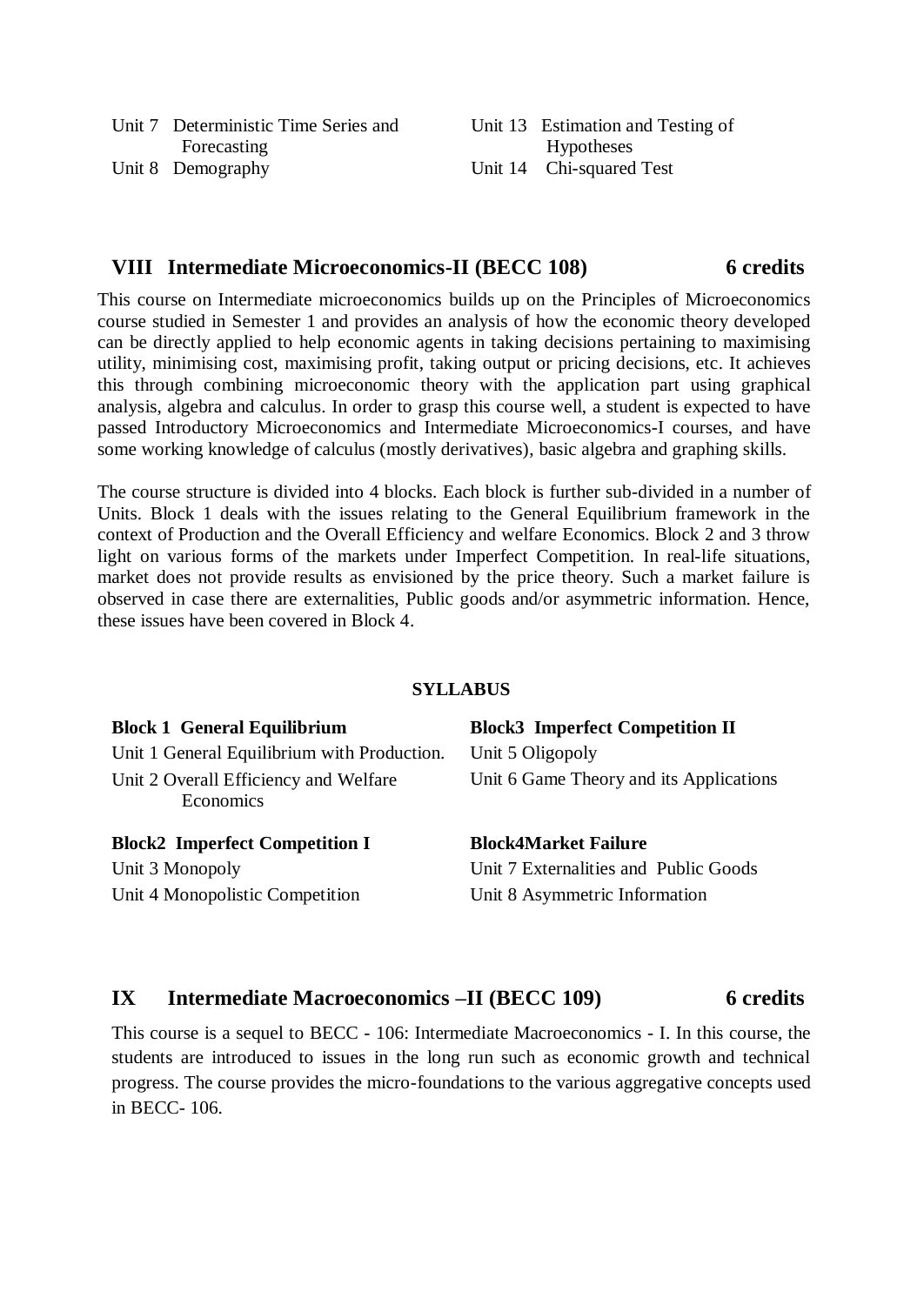| Unit 7 Deterministic Time Series and | Unit 13 Estimation and Testing of |
|--------------------------------------|-----------------------------------|
| Forecasting                          | Hypotheses                        |
| Unit 8 Demography                    | Unit 14 Chi-squared Test          |

## **VIII Intermediate Microeconomics-II (BECC 108) 6 credits**

This course on Intermediate microeconomics builds up on the Principles of Microeconomics course studied in Semester 1 and provides an analysis of how the economic theory developed can be directly applied to help economic agents in taking decisions pertaining to maximising utility, minimising cost, maximising profit, taking output or pricing decisions, etc. It achieves this through combining microeconomic theory with the application part using graphical analysis, algebra and calculus. In order to grasp this course well, a student is expected to have passed Introductory Microeconomics and Intermediate Microeconomics-I courses, and have some working knowledge of calculus (mostly derivatives), basic algebra and graphing skills.

The course structure is divided into 4 blocks. Each block is further sub-divided in a number of Units. Block 1 deals with the issues relating to the General Equilibrium framework in the context of Production and the Overall Efficiency and welfare Economics. Block 2 and 3 throw light on various forms of the markets under Imperfect Competition. In real-life situations, market does not provide results as envisioned by the price theory. Such a market failure is observed in case there are externalities, Public goods and/or asymmetric information. Hence, these issues have been covered in Block 4.

## **SYLLABUS**

| <b>Block 1 General Equilibrium</b>                 | <b>Block3</b> Imperfect Competition II  |  |  |
|----------------------------------------------------|-----------------------------------------|--|--|
| Unit 1 General Equilibrium with Production.        | Unit 5 Oligopoly                        |  |  |
| Unit 2 Overall Efficiency and Welfare<br>Economics | Unit 6 Game Theory and its Applications |  |  |
| <b>Block2</b> Imperfect Competition I              | <b>Block4Market Failure</b>             |  |  |
| Unit 3 Monopoly                                    | Unit 7 Externalities and Public Goods   |  |  |
| Unit 4 Monopolistic Competition                    | Unit 8 Asymmetric Information           |  |  |

## **IX Intermediate Macroeconomics –II (BECC 109) 6 credits**

This course is a sequel to BECC - 106: Intermediate Macroeconomics - I. In this course, the students are introduced to issues in the long run such as economic growth and technical progress. The course provides the micro-foundations to the various aggregative concepts used in BECC- 106.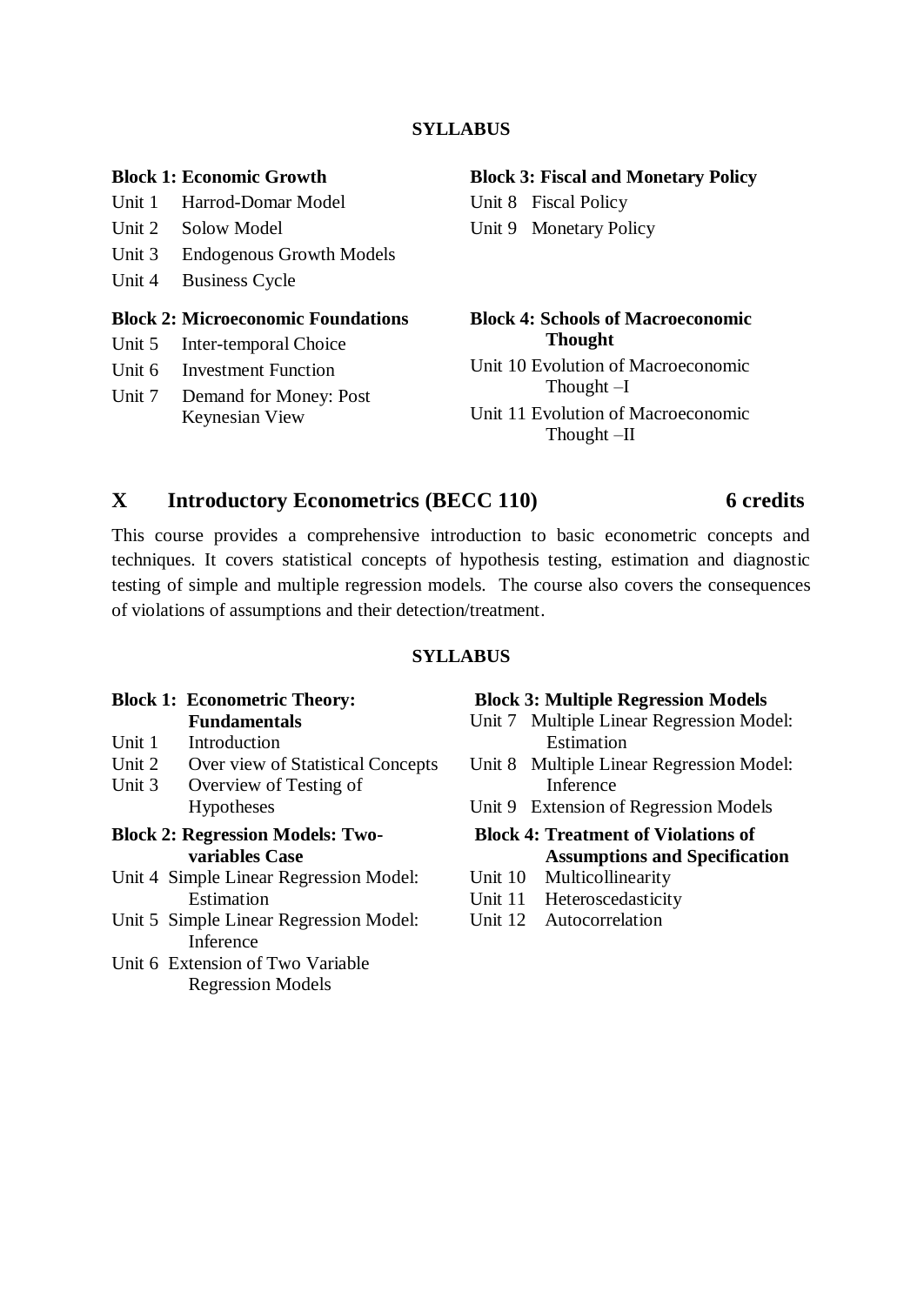## **SYLLABUS**

### **Block 1: Economic Growth**

Unit 1 Harrod-Domar Model

- Unit 2 Solow Model
- Unit 3 Endogenous Growth Models
- Unit 4 Business Cycle

## **Block 2: Microeconomic Foundations**

- Unit 5 Inter-temporal Choice
- Unit 6 Investment Function
- Unit 7 Demand for Money: Post Keynesian View

#### **Block 3: Fiscal and Monetary Policy**

Unit 8 Fiscal Policy Unit 9 Monetary Policy

## **Block 4: Schools of Macroeconomic Thought**

Unit 10 Evolution of Macroeconomic Thought –I

Unit 11 Evolution of Macroeconomic Thought –II

## **X Introductory Econometrics (BECC 110) 6 credits**

## This course provides a comprehensive introduction to basic econometric concepts and techniques. It covers statistical concepts of hypothesis testing, estimation and diagnostic testing of simple and multiple regression models. The course also covers the consequences of violations of assumptions and their detection/treatment.

## **SYLLABUS**

#### **Block 1: Econometric Theory: Fundamentals**

- Unit 1 Introduction
- Unit 2 Over view of Statistical Concepts
- Unit 3 Overview of Testing of Hypotheses
- **Block 2: Regression Models: Twovariables Case**
- Unit 4 Simple Linear Regression Model: Estimation
- Unit 5 Simple Linear Regression Model: Inference
- Unit 6 Extension of Two Variable Regression Models

### **Block 3: Multiple Regression Models**

- Unit 7 Multiple Linear Regression Model: Estimation
- Unit 8 Multiple Linear Regression Model: Inference
- Unit 9 Extension of Regression Models
- **Block 4: Treatment of Violations of Assumptions and Specification**
- Unit 10 Multicollinearity
- Unit 11 Heteroscedasticity
- Unit 12 Autocorrelation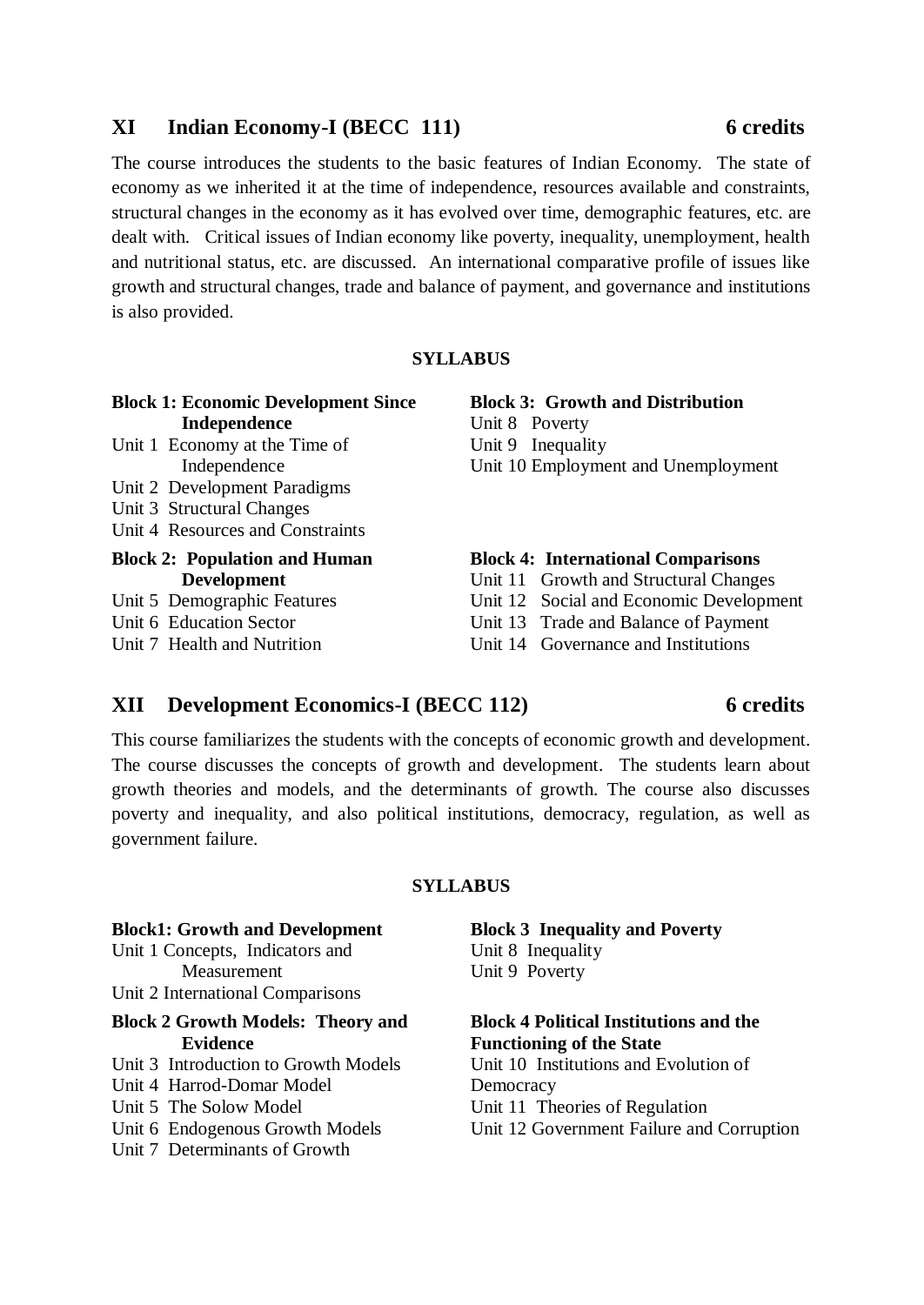## **XI Indian Economy-I (BECC 111) 6 credits**

The course introduces the students to the basic features of Indian Economy. The state of economy as we inherited it at the time of independence, resources available and constraints, structural changes in the economy as it has evolved over time, demographic features, etc. are dealt with. Critical issues of Indian economy like poverty, inequality, unemployment, health and nutritional status, etc. are discussed. An international comparative profile of issues like growth and structural changes, trade and balance of payment, and governance and institutions is also provided.

## **SYLLABUS**

| <b>Block 1: Economic Development Since</b> |  |
|--------------------------------------------|--|
| Independence                               |  |
|                                            |  |

- Unit 1 Economy at the Time of Independence
- Unit 2 Development Paradigms
- Unit 3 Structural Changes
- Unit 4 Resources and Constraints

## **Block 2: Population and Human Development**

- Unit 5 Demographic Features
- Unit 6 Education Sector

Unit 7 Health and Nutrition

**Block 3: Growth and Distribution** Unit 8 Poverty Unit 9 Inequality

Unit 10 Employment and Unemployment

## **Block 4: International Comparisons**

- Unit 11 Growth and Structural Changes
- Unit 12 Social and Economic Development
- Unit 13 Trade and Balance of Payment
- Unit 14 Governance and Institutions

## **XII Development Economics-I (BECC 112) 6 credits**

This course familiarizes the students with the concepts of economic growth and development. The course discusses the concepts of growth and development. The students learn about growth theories and models, and the determinants of growth. The course also discusses poverty and inequality, and also political institutions, democracy, regulation, as well as government failure.

## **SYLLABUS**

| <b>Block1: Growth and Development</b>    | <b>Block 3 Inequality and Poverty</b>         |  |  |
|------------------------------------------|-----------------------------------------------|--|--|
| Unit 1 Concepts, Indicators and          | Unit 8 Inequality                             |  |  |
| Measurement                              | Unit 9 Poverty                                |  |  |
| Unit 2 International Comparisons         |                                               |  |  |
| <b>Block 2 Growth Models: Theory and</b> | <b>Block 4 Political Institutions and the</b> |  |  |
| <b>Evidence</b>                          | <b>Functioning of the State</b>               |  |  |
| Unit 3 Introduction to Growth Models     | Unit 10 Institutions and Evolution of         |  |  |
| Unit 4 Harrod-Domar Model                | Democracy                                     |  |  |
| Unit 5 The Solow Model                   | Unit 11 Theories of Regulation                |  |  |
| Unit 6 Endogenous Growth Models          | Unit 12 Government Failure and Corruption     |  |  |
| Unit 7 Determinants of Growth            |                                               |  |  |
|                                          |                                               |  |  |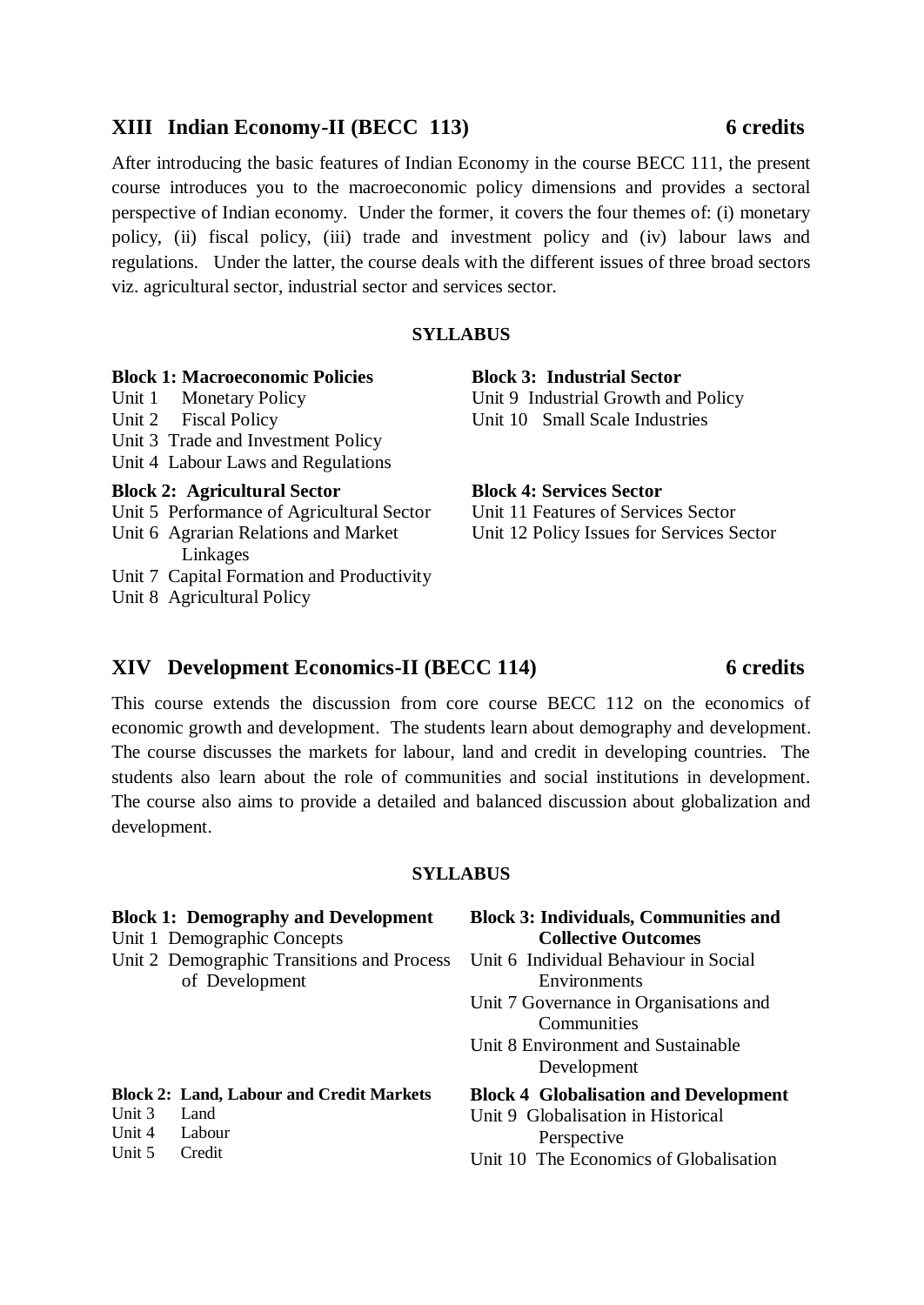## **XIII Indian Economy-II (BECC 113) 6 credits**

After introducing the basic features of Indian Economy in the course BECC 111, the present course introduces you to the macroeconomic policy dimensions and provides a sectoral perspective of Indian economy. Under the former, it covers the four themes of: (i) monetary policy, (ii) fiscal policy, (iii) trade and investment policy and (iv) labour laws and regulations. Under the latter, the course deals with the different issues of three broad sectors viz. agricultural sector, industrial sector and services sector.

## **SYLLABUS**

| <b>Block 1: Macroeconomic Policies</b>    | <b>Block 3</b> |
|-------------------------------------------|----------------|
| Unit 1 Monetary Policy                    | Unit 9 I       |
| Unit 2 Fiscal Policy                      | Unit 10        |
| Unit 3 Trade and Investment Policy        |                |
| Unit 4 Labour Laws and Regulations        |                |
|                                           |                |
| <b>Block 2: Agricultural Sector</b>       | <b>Block 4</b> |
| Unit 5 Performance of Agricultural Sector | Unit 11        |
| Unit 6 Agrarian Relations and Market      | Unit 12        |
| Linkages                                  |                |

Unit 8 Agricultural Policy

**Block 3: Industrial Sector Industrial Growth and Policy Small Scale Industries** 

## **Bervices Sector**

Features of Services Sector Policy Issues for Services Sector

## **XIV Development Economics-II (BECC 114) 6 credits**

This course extends the discussion from core course BECC 112 on the economics of economic growth and development. The students learn about demography and development. The course discusses the markets for labour, land and credit in developing countries. The students also learn about the role of communities and social institutions in development. The course also aims to provide a detailed and balanced discussion about globalization and development.

## **SYLLABUS**

#### **Block 1: Demography and Development** Unit 1 Demographic Concepts Unit 2 Demographic Transitions and Process of Development **Block 3: Individuals, Communities and Collective Outcomes** Unit 6 Individual Behaviour in Social **Environments** Unit 7 Governance in Organisations and Communities Unit 8 Environment and Sustainable Development **Block 2: Land, Labour and Credit Markets** Unit 3 Land Unit 4 Labour Unit 5 Credit **Block 4 Globalisation and Development** Unit 9 Globalisation in Historical Perspective Unit 10 The Economics of Globalisation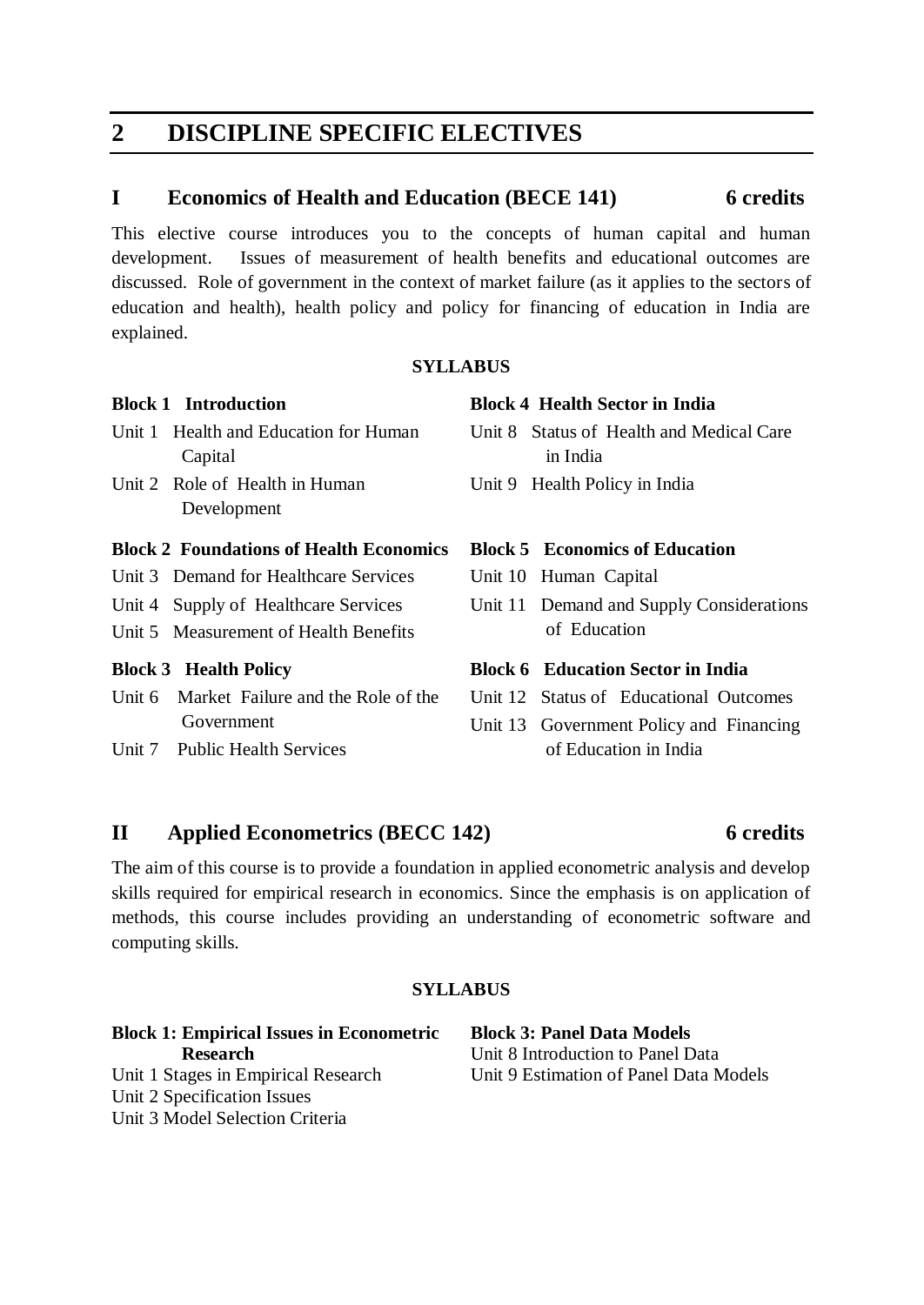## **2 DISCIPLINE SPECIFIC ELECTIVES**

## **I Economics of Health and Education (BECE 141) 6 credits**

This elective course introduces you to the concepts of human capital and human development. Issues of measurement of health benefits and educational outcomes are discussed. Role of government in the context of market failure (as it applies to the sectors of education and health), health policy and policy for financing of education in India are explained.

## **SYLLABUS**

## **Block 1 Introduction**

- Unit 1 Health and Education for Human Capital
- Unit 2 Role of Health in Human Development

## **Block 2 Foundations of Health Economics**

- Unit 3 Demand for Healthcare Services
- Unit 4 Supply of Healthcare Services
- Unit 5 Measurement of Health Benefits

## **Block 3 Health Policy**

- Unit 6 Market Failure and the Role of the Government
- Unit 7 Public Health Services

## **Block 4 Health Sector in India**

- Unit 8 Status of Health and Medical Care in India
- Unit 9 Health Policy in India

## **Block 5 Economics of Education**

- Unit 10 Human Capital
- Unit 11 Demand and Supply Considerations of Education

## **Block 6 Education Sector in India**

- Unit 12 Status of Educational Outcomes
- Unit 13 Government Policy and Financing of Education in India

## **II Applied Econometrics (BECC 142) 6 credits**

The aim of this course is to provide a foundation in applied econometric analysis and develop skills required for empirical research in economics. Since the emphasis is on application of methods, this course includes providing an understanding of econometric software and computing skills.

## **SYLLABUS**

**Block 1: Empirical Issues in Econometric Research**  Unit 1 Stages in Empirical Research Unit 2 Specification Issues Unit 3 Model Selection Criteria

**Block 3: Panel Data Models** Unit 8 Introduction to Panel Data Unit 9 Estimation of Panel Data Models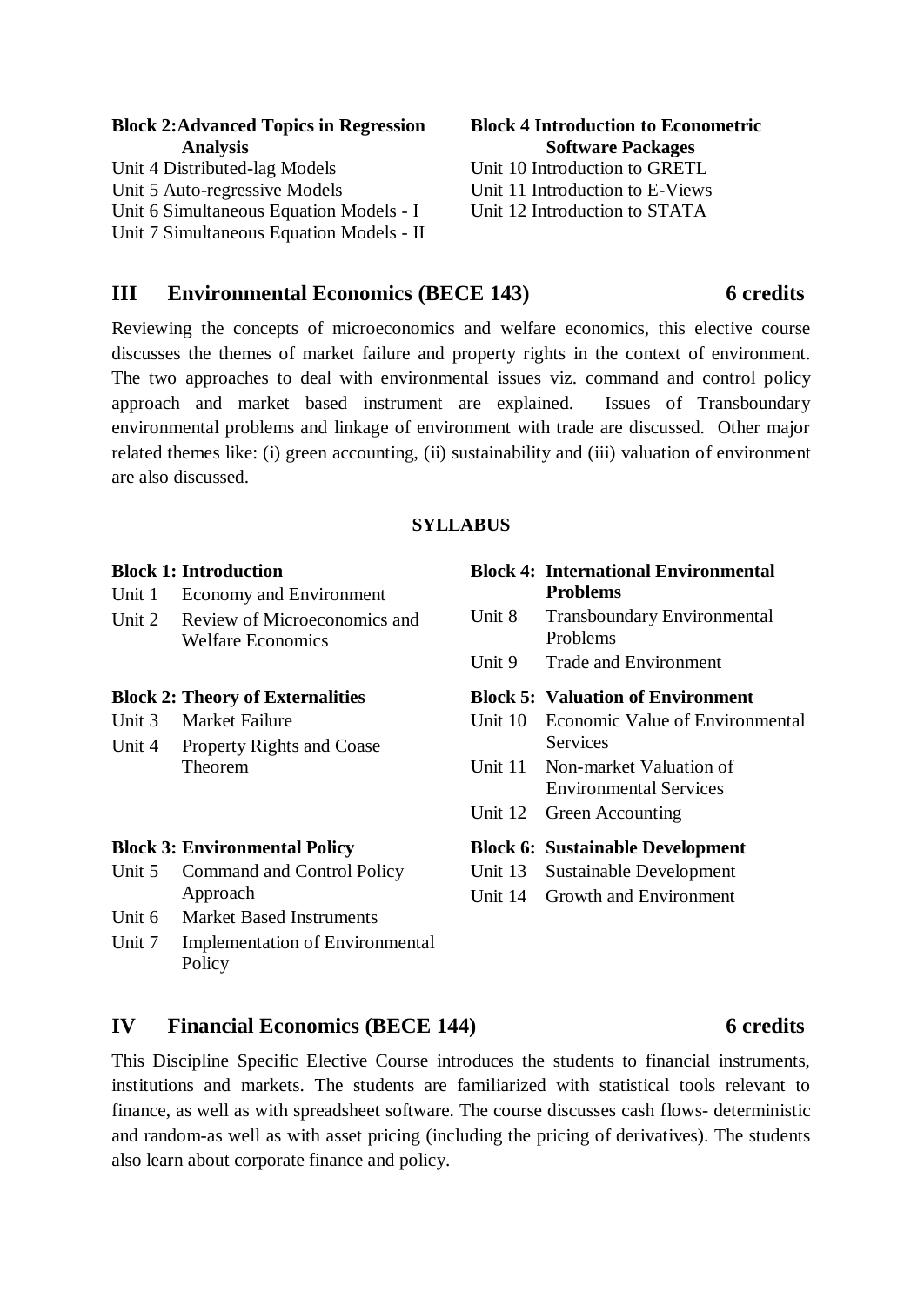| <b>Block 2:Advanced Topics in Regression</b> | <b>Block 4 Introduction to Econometric</b> |  |  |
|----------------------------------------------|--------------------------------------------|--|--|
| <b>Analysis</b>                              | <b>Software Packages</b>                   |  |  |
| Unit 4 Distributed-lag Models                | Unit 10 Introduction to GRETL              |  |  |
| Unit 5 Auto-regressive Models                | Unit 11 Introduction to E-Views            |  |  |
| Unit 6 Simultaneous Equation Models - I      | Unit 12 Introduction to STATA              |  |  |
| Unit 7 Simultaneous Equation Models - II     |                                            |  |  |

## **III Environmental Economics (BECE 143) 6 credits**

Reviewing the concepts of microeconomics and welfare economics, this elective course discusses the themes of market failure and property rights in the context of environment. The two approaches to deal with environmental issues viz. command and control policy approach and market based instrument are explained. Issues of Transboundary environmental problems and linkage of environment with trade are discussed. Other major related themes like: (i) green accounting, (ii) sustainability and (iii) valuation of environment are also discussed.

### **SYLLABUS**

|        | <b>Block 1: Introduction</b>            |         | <b>Block 4: International Environmental</b> |
|--------|-----------------------------------------|---------|---------------------------------------------|
| Unit 1 | <b>Economy and Environment</b>          |         | <b>Problems</b>                             |
| Unit 2 | Review of Microeconomics and            | Unit 8  | <b>Transboundary Environmental</b>          |
|        | <b>Welfare Economics</b>                |         | Problems                                    |
|        |                                         | Unit 9  | <b>Trade and Environment</b>                |
|        | <b>Block 2: Theory of Externalities</b> |         | <b>Block 5: Valuation of Environment</b>    |
| Unit 3 | <b>Market Failure</b>                   | Unit 10 | Economic Value of Environmental             |
| Unit 4 | <b>Property Rights and Coase</b>        |         | Services                                    |
|        | Theorem                                 | Unit 11 | Non-market Valuation of                     |
|        |                                         |         | <b>Environmental Services</b>               |
|        |                                         | Unit 12 | Green Accounting                            |
|        | <b>Block 3: Environmental Policy</b>    |         | <b>Block 6: Sustainable Development</b>     |
| Unit 5 | Command and Control Policy              | Unit 13 | <b>Sustainable Development</b>              |
|        | Approach                                | Unit 14 | Growth and Environment                      |
| Unit 6 | <b>Market Based Instruments</b>         |         |                                             |
| Unit 7 | <b>Implementation of Environmental</b>  |         |                                             |
|        | Policy                                  |         |                                             |

## **IV Financial Economics (BECE 144) 6 credits**

## This Discipline Specific Elective Course introduces the students to financial instruments, institutions and markets. The students are familiarized with statistical tools relevant to finance, as well as with spreadsheet software. The course discusses cash flows- deterministic and random-as well as with asset pricing (including the pricing of derivatives). The students also learn about corporate finance and policy.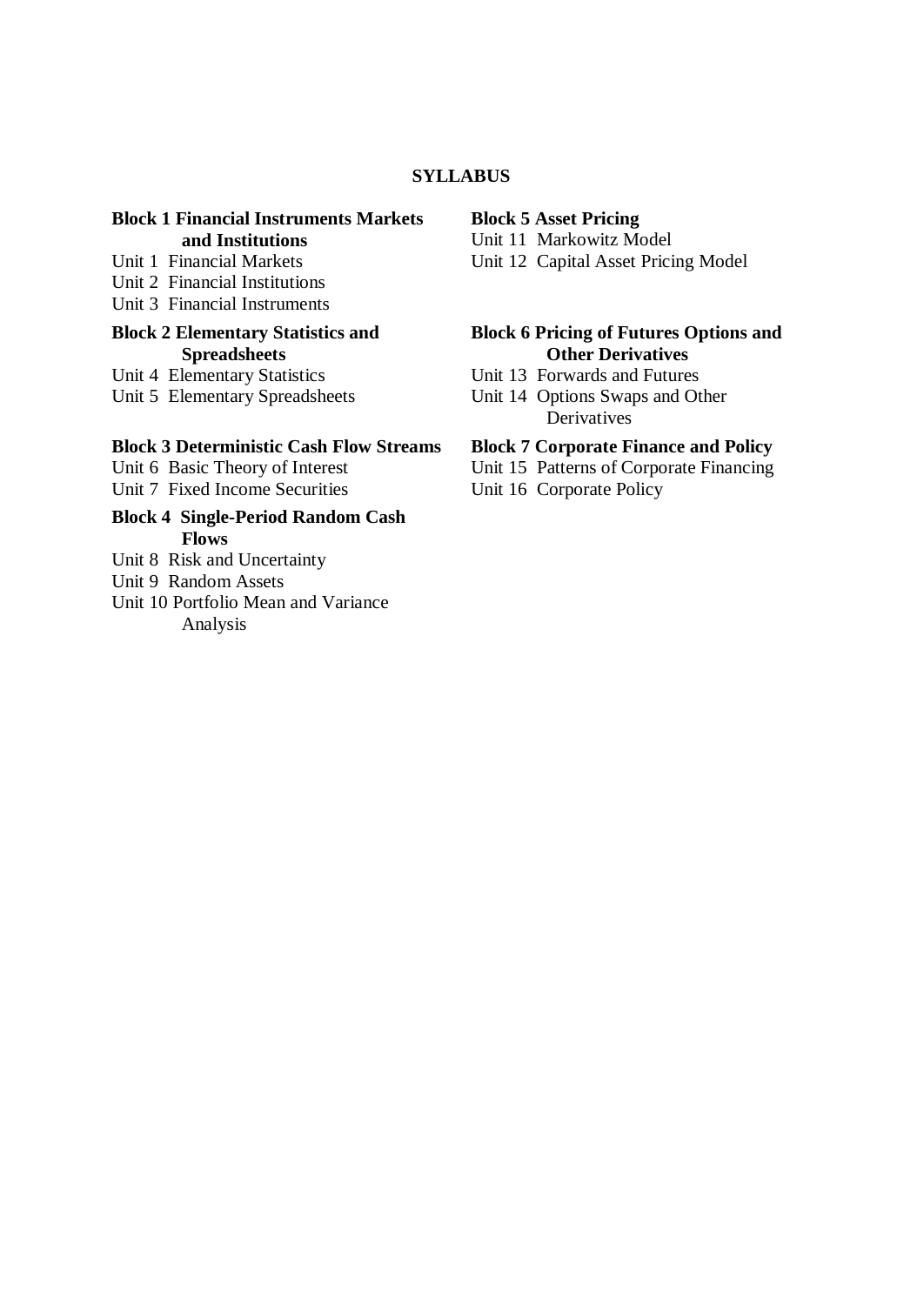## **SYLLABUS**

## **Block 1 Financial Instruments Markets and Institutions**

- Unit 1 Financial Markets
- Unit 2 Financial Institutions
- Unit 3 Financial Instruments

## **Block 2 Elementary Statistics and Spreadsheets**

Unit 4 Elementary Statistics

Unit 5 Elementary Spreadsheets

### **Block 3 Deterministic Cash Flow Streams**

Unit 6 Basic Theory of Interest Unit 7 Fixed Income Securities

- **Block 4 Single-Period Random Cash Flows**
- Unit 8 Risk and Uncertainty
- Unit 9 Random Assets
- Unit 10 Portfolio Mean and Variance Analysis

#### **Block 5 Asset Pricing**

Unit 11 Markowitz Model

Unit 12 Capital Asset Pricing Model

## **Block 6 Pricing of Futures Options and Other Derivatives**

- Unit 13 Forwards and Futures
- Unit 14 Options Swaps and Other **Derivatives**

## **Block 7 Corporate Finance and Policy**

- Unit 15 Patterns of Corporate Financing
- Unit 16 Corporate Policy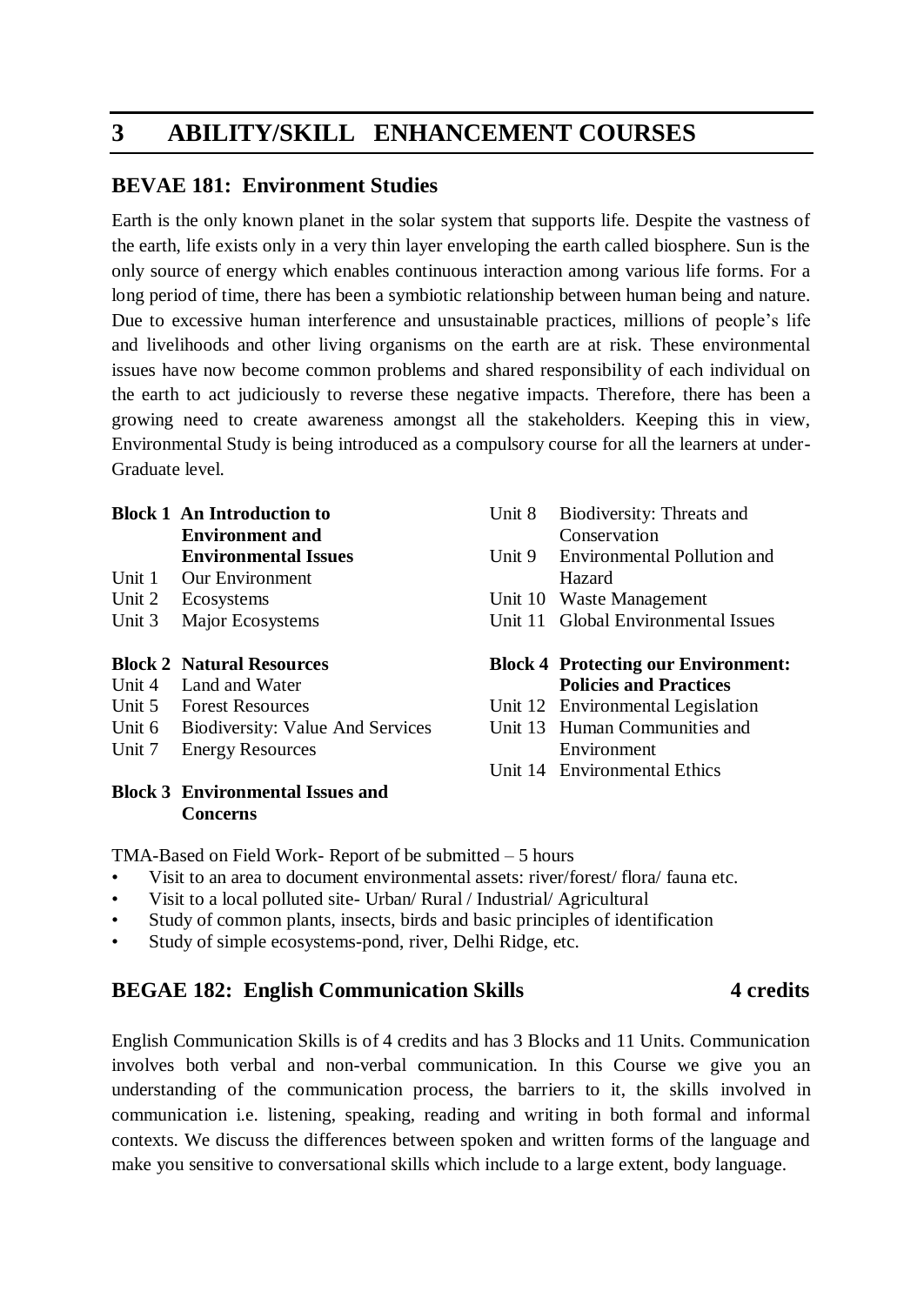## **3 ABILITY/SKILL ENHANCEMENT COURSES**

## **BEVAE 181: Environment Studies**

Earth is the only known planet in the solar system that supports life. Despite the vastness of the earth, life exists only in a very thin layer enveloping the earth called biosphere. Sun is the only source of energy which enables continuous interaction among various life forms. For a long period of time, there has been a symbiotic relationship between human being and nature. Due to excessive human interference and unsustainable practices, millions of people's life and livelihoods and other living organisms on the earth are at risk. These environmental issues have now become common problems and shared responsibility of each individual on the earth to act judiciously to reverse these negative impacts. Therefore, there has been a growing need to create awareness amongst all the stakeholders. Keeping this in view, Environmental Study is being introduced as a compulsory course for all the learners at under-Graduate level.

### **Block 1 An Introduction to Environment and Environmental Issues**

- Unit 1 Our Environment
- Unit 2 Ecosystems
- Unit 3 Major Ecosystems

## **Block 2 Natural Resources**

- Unit 4 Land and Water
- Unit 5 Forest Resources
- Unit 6 Biodiversity: Value And Services
- Unit 7 Energy Resources

## **Block 3 Environmental Issues and Concerns**

| Unit 8 | Biodiversity: Threats and<br>Conservation                                   |
|--------|-----------------------------------------------------------------------------|
| Unit 9 | <b>Environmental Pollution and</b><br>Hazard                                |
|        | Unit 10 Waste Management                                                    |
|        | Unit 11 Global Environmental Issues                                         |
|        | <b>Block 4 Protecting our Environment:</b><br><b>Policies and Practices</b> |
|        | Unit 12 Environmental Legislation                                           |

- Unit 13 Human Communities and
- Environment
- Unit 14 Environmental Ethics

TMA-Based on Field Work- Report of be submitted – 5 hours

- Visit to an area to document environmental assets: river/forest/ flora/ fauna etc.
- Visit to a local polluted site- Urban/ Rural / Industrial/ Agricultural
- Study of common plants, insects, birds and basic principles of identification
- Study of simple ecosystems-pond, river, Delhi Ridge, etc.

## **BEGAE 182: English Communication Skills** 4 credits

English Communication Skills is of 4 credits and has 3 Blocks and 11 Units. Communication involves both verbal and non-verbal communication. In this Course we give you an understanding of the communication process, the barriers to it, the skills involved in communication i.e. listening, speaking, reading and writing in both formal and informal contexts. We discuss the differences between spoken and written forms of the language and make you sensitive to conversational skills which include to a large extent, body language.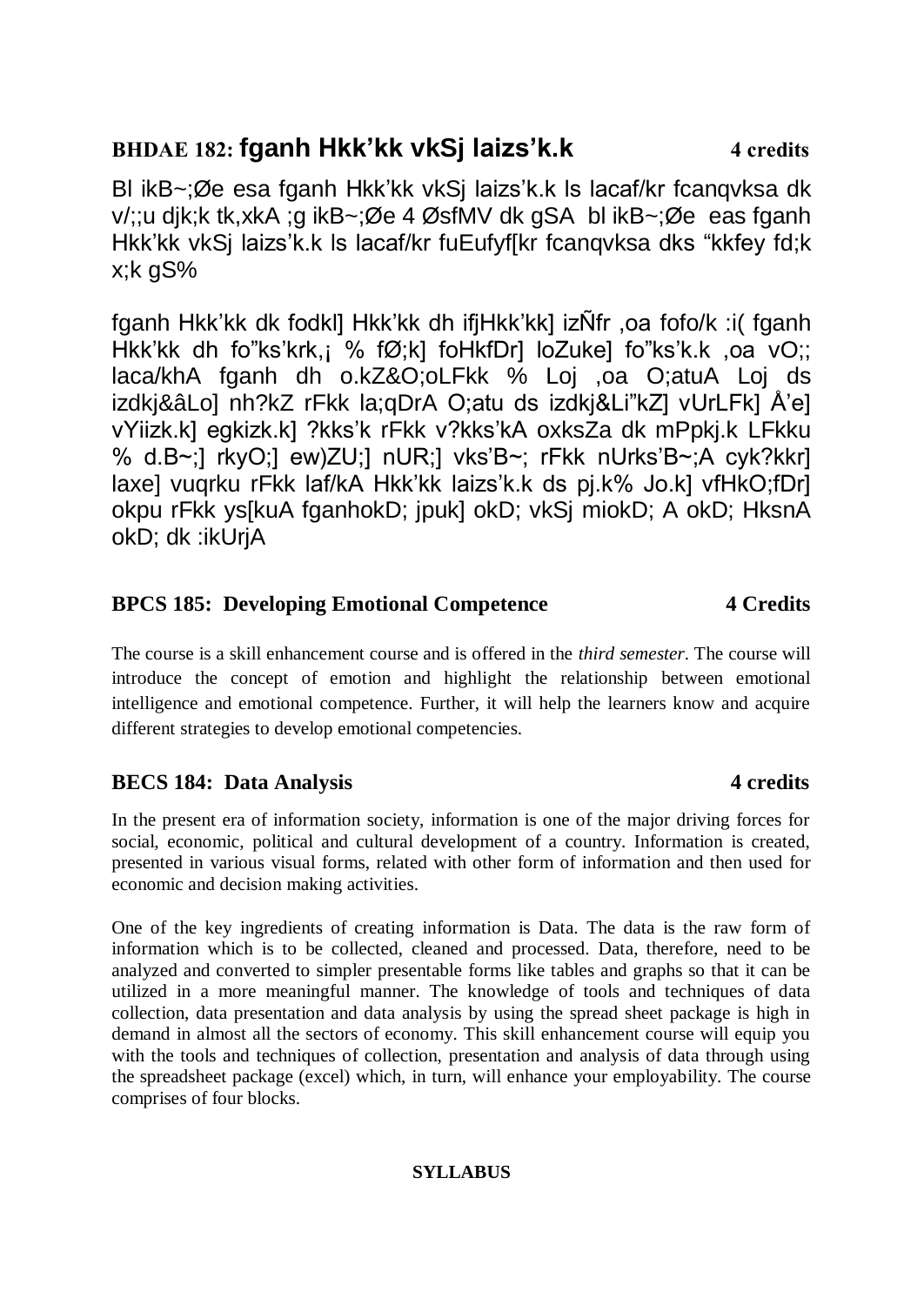## **BHDAE 182: fganh Hkk'kk vkSj laizs'k.k 4 credits**

Bl ikB~;Øe esa fganh Hkk'kk vkSj laizs'k.k ls lacaf/kr fcanqvksa dk v/;;u djk;k tk,xkA ;g ikB~;Øe 4 ØsfMV dk gSA bl ikB~;Øe eas fganh Hkk'kk vkSj laizs'k.k ls lacaf/kr fuEufyf[kr fcanqvksa dks "kkfey fd;k x;k gS%

fganh Hkk'kk dk fodkl] Hkk'kk dh ifjHkk'kk] izÑfr ,oa fofo/k :i( fganh Hkk'kk dh fo"ks'krk,¡ % fØ;k] foHkfDr] loZuke] fo"ks'k.k ,oa vO;; laca/khA fganh dh o.kZ&O;oLFkk % Loj ,oa O;atuA Loj ds izdkj&âLo] nh?kZ rFkk la;qDrA O;atu ds izdkj&Li"kZ] vUrLFk] Å'e] vYiizk.k] egkizk.k] ?kks'k rFkk v?kks'kA oxksZa dk mPpkj.k LFkku % d.B~;] rkyO;] ew)ZU;] nUR;] vks'B~; rFkk nUrks'B~;A cyk?kkr] laxe] vuqrku rFkk laf/kA Hkk'kk laizs'k.k ds pj.k% Jo.k] vfHkO;fDr] okpu rFkk ys[kuA fganhokD; jpuk] okD; vkSj miokD; A okD; HksnA okD; dk :ikUrjA

## **BPCS 185: Developing Emotional Competence 4 Credits**

The course is a skill enhancement course and is offered in the *third semester*. The course will introduce the concept of emotion and highlight the relationship between emotional intelligence and emotional competence. Further, it will help the learners know and acquire different strategies to develop emotional competencies.

## **BECS 184:** Data Analysis **4** credits

In the present era of information society, information is one of the major driving forces for social, economic, political and cultural development of a country. Information is created, presented in various visual forms, related with other form of information and then used for economic and decision making activities.

One of the key ingredients of creating information is Data. The data is the raw form of information which is to be collected, cleaned and processed. Data, therefore, need to be analyzed and converted to simpler presentable forms like tables and graphs so that it can be utilized in a more meaningful manner. The knowledge of tools and techniques of data collection, data presentation and data analysis by using the spread sheet package is high in demand in almost all the sectors of economy. This skill enhancement course will equip you with the tools and techniques of collection, presentation and analysis of data through using the spreadsheet package (excel) which, in turn, will enhance your employability. The course comprises of four blocks.

## **SYLLABUS**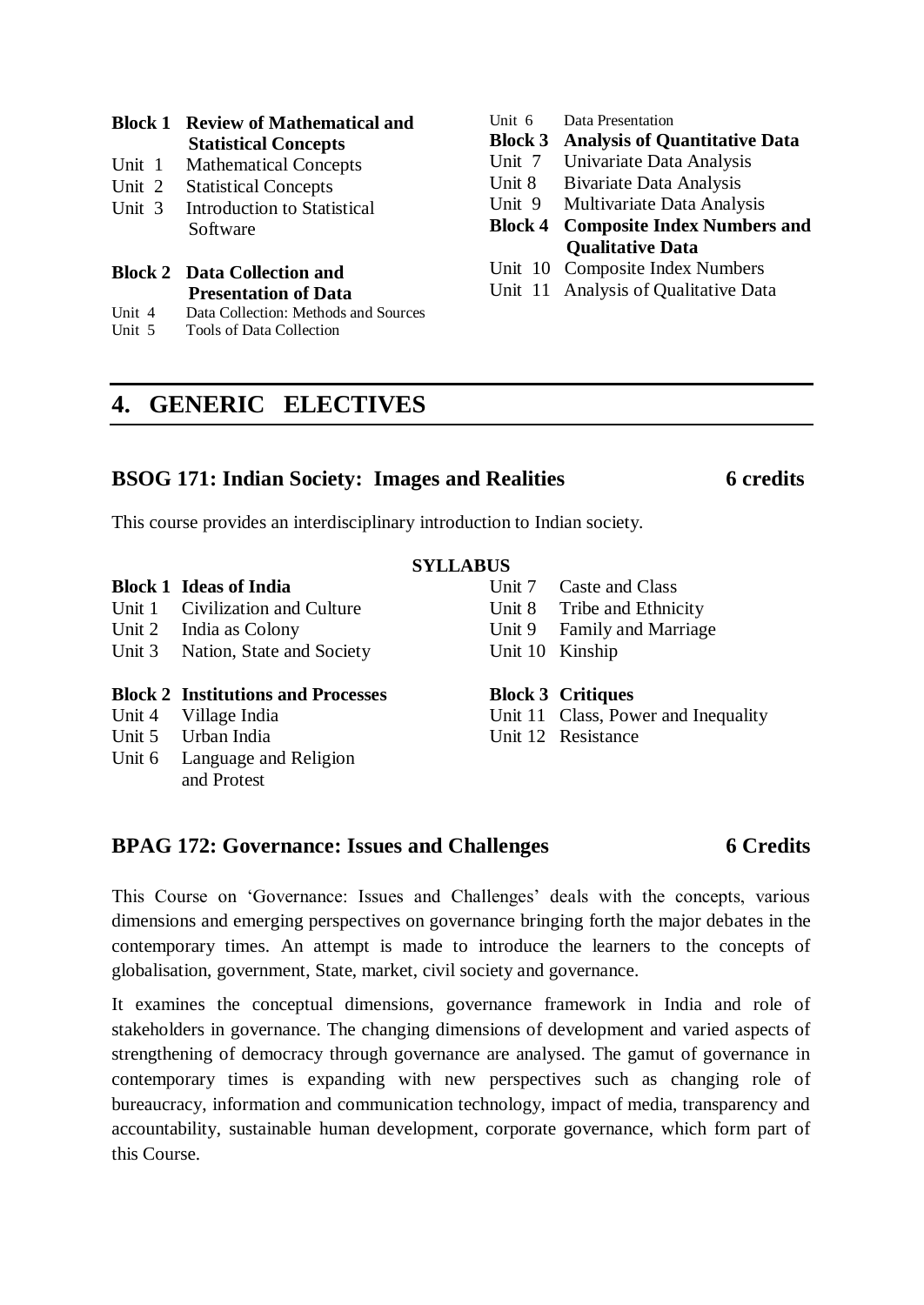|                     | <b>Block 1 Review of Mathematical and</b><br><b>Statistical Concepts</b> |  |  |
|---------------------|--------------------------------------------------------------------------|--|--|
| Unit $1$            | <b>Mathematical Concepts</b>                                             |  |  |
| Unit 2              | <b>Statistical Concepts</b>                                              |  |  |
| Unit $\overline{3}$ | Introduction to Statistical<br>Software                                  |  |  |
|                     | <b>Block 2</b> Data Collection and<br><b>Presentation of Data</b>        |  |  |

- Unit 4 Data Collection: Methods and Sources
- Unit 5 Tools of Data Collection

## Unit 6 Data Presentation

**Block 3 Analysis of Quantitative Data**

- Unit 7 Univariate Data Analysis
- Unit 8 Bivariate Data Analysis

Unit 9 Multivariate Data Analysis

## **Block 4 Composite Index Numbers and Qualitative Data**

- Unit 10 Composite Index Numbers
- Unit 11 Analysis of Qualitative Data

## **4. GENERIC ELECTIVES**

## **BSOG 171: Indian Society: Images and Realities 6 credits**

This course provides an interdisciplinary introduction to Indian society.

## **SYLLABUS**

- **Block 1 Ideas of India** Unit 1 Civilization and Culture
- Unit 2 India as Colony
- Unit 3 Nation, State and Society

### **Block 2 Institutions and Processes**

- Unit 4 Village India
- Unit 5 Urban India
- Unit 6 Language and Religion and Protest

Unit 7 Caste and Class Unit 8 Tribe and Ethnicity Unit 9 Family and Marriage Unit 10 Kinship

## **Block 3 Critiques**

Unit 11 Class, Power and Inequality

Unit 12 Resistance

## **BPAG 172: Governance: Issues and Challenges 6 Credits**

This Course on 'Governance: Issues and Challenges' deals with the concepts, various dimensions and emerging perspectives on governance bringing forth the major debates in the contemporary times. An attempt is made to introduce the learners to the concepts of globalisation, government, State, market, civil society and governance.

It examines the conceptual dimensions, governance framework in India and role of stakeholders in governance. The changing dimensions of development and varied aspects of strengthening of democracy through governance are analysed. The gamut of governance in contemporary times is expanding with new perspectives such as changing role of bureaucracy, information and communication technology, impact of media, transparency and accountability, sustainable human development, corporate governance, which form part of this Course.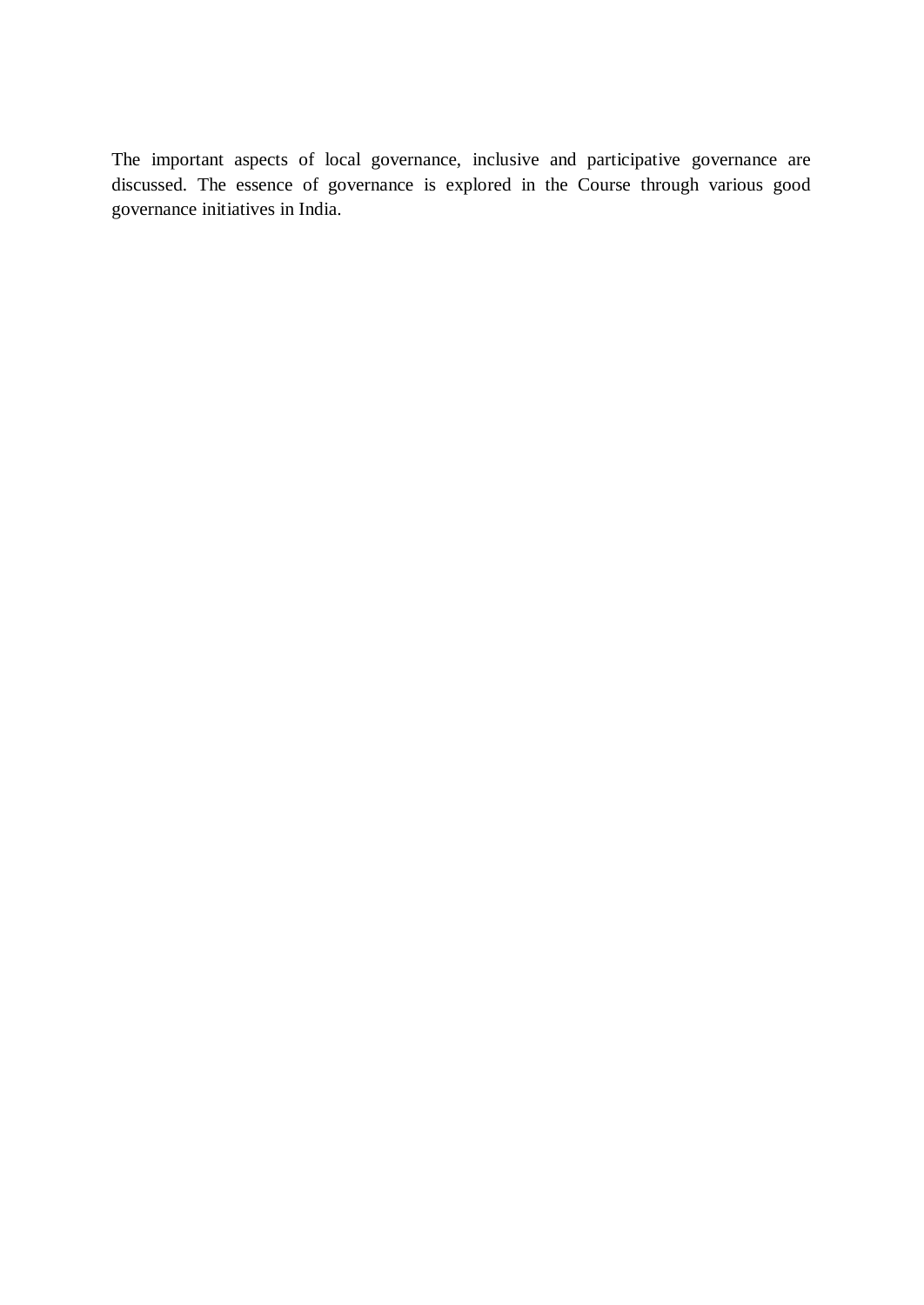The important aspects of local governance, inclusive and participative governance are discussed. The essence of governance is explored in the Course through various good governance initiatives in India.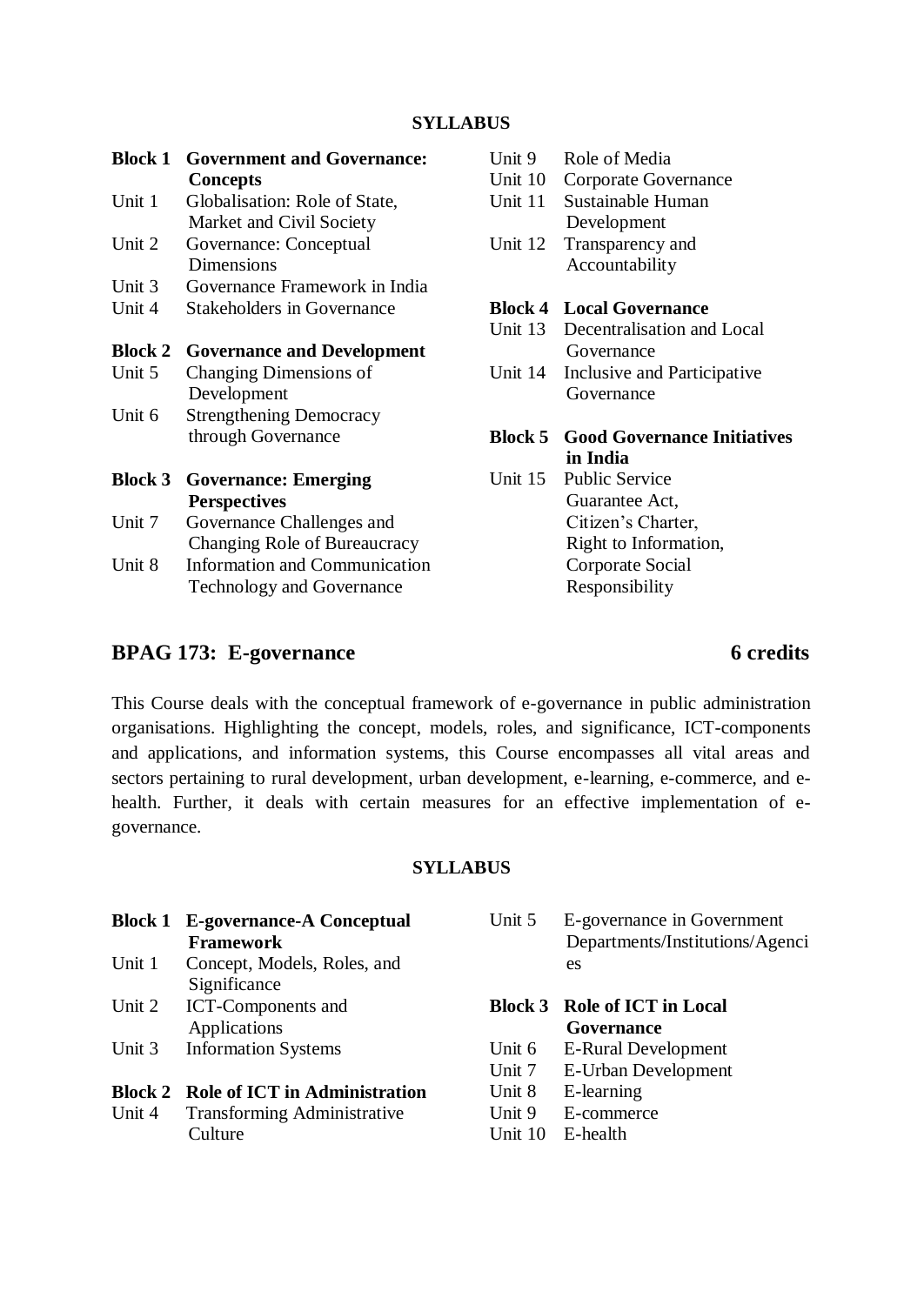| <b>Block 1</b> | <b>Government and Governance:</b><br><b>Concepts</b>      | Unit 9<br>Unit 10 | Role of Media<br>Corporate Governance |
|----------------|-----------------------------------------------------------|-------------------|---------------------------------------|
| Unit 1         | Globalisation: Role of State,<br>Market and Civil Society | Unit 11           | Sustainable Human<br>Development      |
| Unit 2         | Governance: Conceptual<br>Dimensions                      | Unit 12           | Transparency and<br>Accountability    |
| Unit 3         | Governance Framework in India                             |                   |                                       |
| Unit 4         | <b>Stakeholders in Governance</b>                         |                   | <b>Block 4 Local Governance</b>       |
|                |                                                           | Unit 13           | Decentralisation and Local            |
| <b>Block 2</b> | <b>Governance and Development</b>                         |                   | Governance                            |
| Unit 5         | Changing Dimensions of                                    | Unit 14           | Inclusive and Participative           |
|                | Development                                               |                   | Governance                            |
| Unit 6         | <b>Strengthening Democracy</b>                            |                   |                                       |
|                | through Governance                                        | <b>Block 5</b>    | <b>Good Governance Initiatives</b>    |
|                |                                                           |                   | in India                              |
| <b>Block 3</b> | <b>Governance: Emerging</b>                               | Unit 15           | <b>Public Service</b>                 |
|                | <b>Perspectives</b>                                       |                   | Guarantee Act,                        |
| Unit 7         | Governance Challenges and                                 |                   | Citizen's Charter,                    |
|                | Changing Role of Bureaucracy                              |                   | Right to Information,                 |
| Unit 8         | Information and Communication                             |                   | Corporate Social                      |
|                | <b>Technology and Governance</b>                          |                   | Responsibility                        |

## **BPAG 173: E-governance 6 credits**

This Course deals with the conceptual framework of e-governance in public administration organisations. Highlighting the concept, models, roles, and significance, ICT-components and applications, and information systems, this Course encompasses all vital areas and sectors pertaining to rural development, urban development, e-learning, e-commerce, and ehealth. Further, it deals with certain measures for an effective implementation of egovernance.

## **SYLLABUS**

|        | <b>Framework</b>            |
|--------|-----------------------------|
| Unit 1 | Concept, Models, Roles, and |
|        | Significance                |
|        | Unit 2 ICT-Components and   |
|        | Applications                |
|        | Unit 3 Information Systems  |
|        |                             |

**Block 1 E-governance-A Conceptual** 

# **Block 2 Role of ICT in Administration**<br>Unit 4 **Transforming Administrative**

Transforming Administrative **Culture** 

| Unit 5 E-governance in Government |
|-----------------------------------|
| Departments/Institutions/Agenci   |
| es                                |

### **Block 3 Role of ICT in Local Governance**

- Unit 6 E-Rural Development
- Unit 7 E-Urban Development
- Unit 8 E-learning
- Unit 9 E-commerce
- Unit 10 E-health